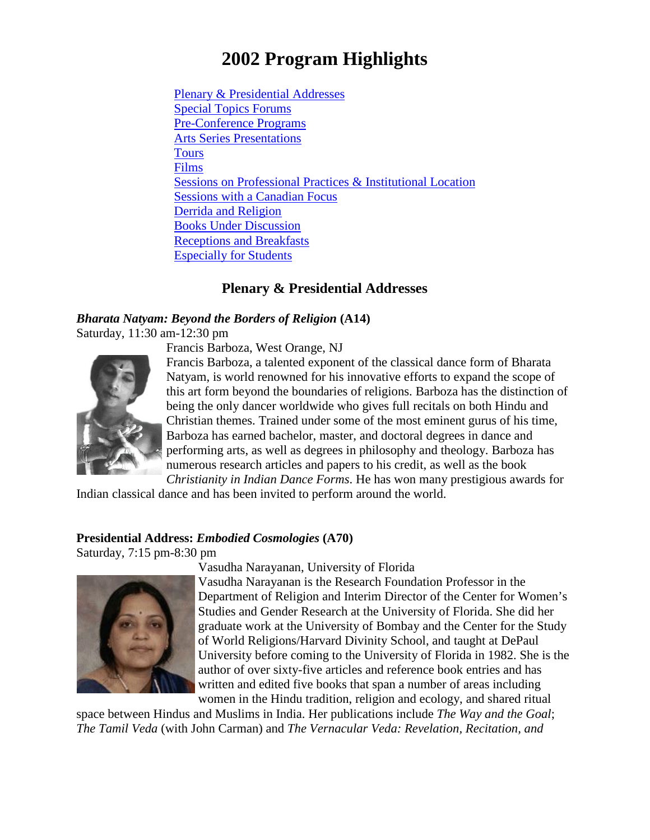# **2002 Program Highlights**

Plenary & [Presidential](#page-0-0) Addresses Special Topics [Forums](#page-1-0)  [Pre-Conference](#page-6-0) Programs Arts Series [Presentations](#page-7-0) **Tours** [Films](#page-8-0) Sessions on [Professional](#page-10-0) Practices & Institutional Location [Sessions with a Canadian Focus](#page-11-0) [Derrida and Religion](#page-12-0) [Books Under Discussion](#page-13-0) [Receptions](#page-15-0) and Breakfasts [Especially](#page-16-0) for Students

# **Plenary & Presidential Addresses**

#### <span id="page-0-0"></span>*Bharata Natyam: Beyond the Borders of Religion* **(A14)** Saturday, 11:30 am-12:30 pm

Francis Barboza, West Orange, NJ



Francis Barboza, a talented exponent of the classical dance form of Bharata Natyam, is world renowned for his innovative efforts to expand the scope of this art form beyond the boundaries of religions. Barboza has the distinction of being the only dancer worldwide who gives full recitals on both Hindu and Christian themes. Trained under some of the most eminent gurus of his time, Barboza has earned bachelor, master, and doctoral degrees in dance and performing arts, as well as degrees in philosophy and theology. Barboza has numerous research articles and papers to his credit, as well as the book

*Christianity in Indian Dance Forms*. He has won many prestigious awards for Indian classical dance and has been invited to perform around the world.

#### **Presidential Address:** *Embodied Cosmologies* **(A70)**

Saturday, 7:15 pm-8:30 pm



Vasudha Narayanan, University of Florida

Vasudha Narayanan is the Research Foundation Professor in the Department of Religion and Interim Director of the Center for Women's Studies and Gender Research at the University of Florida. She did her graduate work at the University of Bombay and the Center for the Study of World Religions/Harvard Divinity School, and taught at DePaul University before coming to the University of Florida in 1982. She is the author of over sixty-five articles and reference book entries and has written and edited five books that span a number of areas including women in the Hindu tradition, religion and ecology, and shared ritual

space between Hindus and Muslims in India. Her publications include *The Way and the Goal*; *The Tamil Veda* (with John Carman) and *The Vernacular Veda: Revelation, Recitation, and*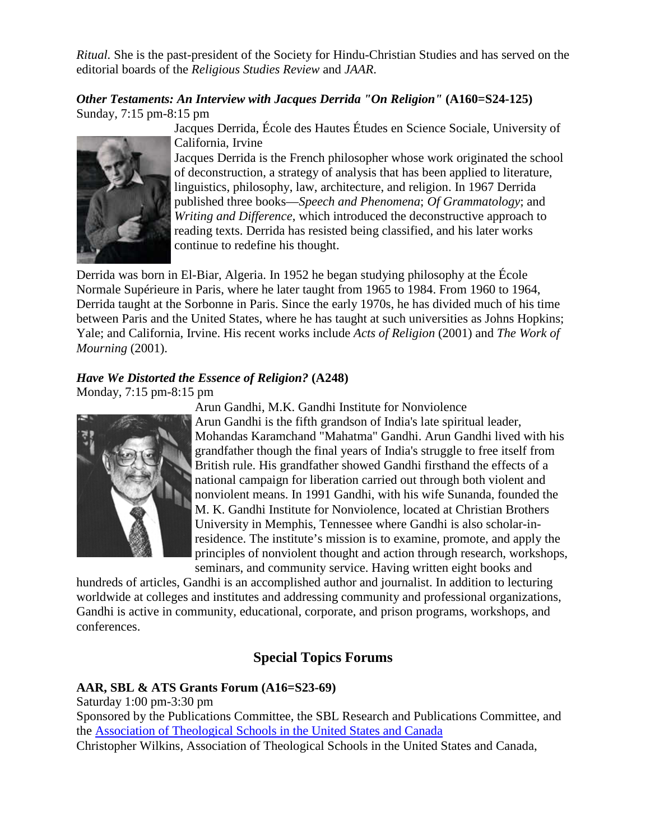*Ritual.* She is the past-president of the Society for Hindu-Christian Studies and has served on the editorial boards of the *Religious Studies Review* and *JAAR*.

*Other Testaments: An Interview with Jacques Derrida "On Religion"* **(A160=S24-125)** Sunday, 7:15 pm-8:15 pm



Jacques Derrida, École des Hautes Études en Science Sociale, University of California, Irvine

Jacques Derrida is the French philosopher whose work originated the school of deconstruction, a strategy of analysis that has been applied to literature, linguistics, philosophy, law, architecture, and religion. In 1967 Derrida published three books—*Speech and Phenomena*; *Of Grammatology*; and *Writing and Difference*, which introduced the deconstructive approach to reading texts. Derrida has resisted being classified, and his later works continue to redefine his thought.

Derrida was born in El-Biar, Algeria. In 1952 he began studying philosophy at the École Normale Supérieure in Paris, where he later taught from 1965 to 1984. From 1960 to 1964, Derrida taught at the Sorbonne in Paris. Since the early 1970s, he has divided much of his time between Paris and the United States, where he has taught at such universities as Johns Hopkins; Yale; and California, Irvine. His recent works include *Acts of Religion* (2001) and *The Work of Mourning* (2001).

# *Have We Distorted the Essence of Religion?* **(A248)**

Monday, 7:15 pm-8:15 pm



Arun Gandhi, M.K. Gandhi Institute for Nonviolence

Arun Gandhi is the fifth grandson of India's late spiritual leader, Mohandas Karamchand "Mahatma" Gandhi. Arun Gandhi lived with his grandfather though the final years of India's struggle to free itself from British rule. His grandfather showed Gandhi firsthand the effects of a national campaign for liberation carried out through both violent and nonviolent means. In 1991 Gandhi, with his wife Sunanda, founded the M. K. Gandhi Institute for Nonviolence, located at Christian Brothers University in Memphis, Tennessee where Gandhi is also scholar-inresidence. The institute's mission is to examine, promote, and apply the principles of nonviolent thought and action through research, workshops, seminars, and community service. Having written eight books and

hundreds of articles, Gandhi is an accomplished author and journalist. In addition to lecturing worldwide at colleges and institutes and addressing community and professional organizations, Gandhi is active in community, educational, corporate, and prison programs, workshops, and conferences.

# **Special Topics Forums**

# <span id="page-1-0"></span>**AAR, SBL & ATS Grants Forum (A16=S23-69)**

Saturday 1:00 pm-3:30 pm Sponsored by the Publications Committee, the SBL Research and Publications Committee, and the [Association of Theological Schools in the United States and Canada](http://www.ats.edu/) Christopher Wilkins, Association of Theological Schools in the United States and Canada,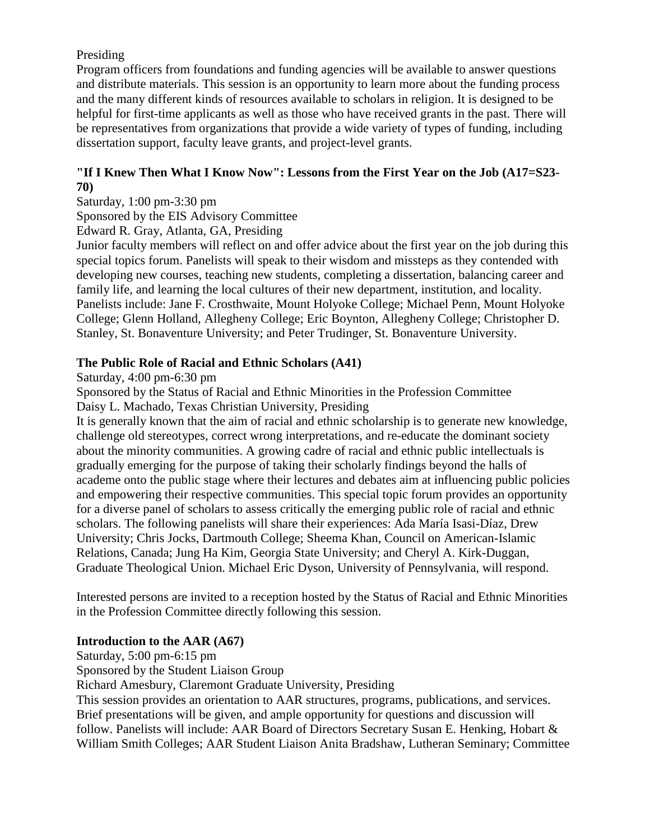# Presiding

Program officers from foundations and funding agencies will be available to answer questions and distribute materials. This session is an opportunity to learn more about the funding process and the many different kinds of resources available to scholars in religion. It is designed to be helpful for first-time applicants as well as those who have received grants in the past. There will be representatives from organizations that provide a wide variety of types of funding, including dissertation support, faculty leave grants, and project-level grants.

# **"If I Knew Then What I Know Now": Lessons from the First Year on the Job (A17=S23- 70)**

Saturday, 1:00 pm-3:30 pm

Sponsored by the EIS Advisory Committee

Edward R. Gray, Atlanta, GA, Presiding

Junior faculty members will reflect on and offer advice about the first year on the job during this special topics forum. Panelists will speak to their wisdom and missteps as they contended with developing new courses, teaching new students, completing a dissertation, balancing career and family life, and learning the local cultures of their new department, institution, and locality. Panelists include: Jane F. Crosthwaite, Mount Holyoke College; Michael Penn, Mount Holyoke College; Glenn Holland, Allegheny College; Eric Boynton, Allegheny College; Christopher D. Stanley, St. Bonaventure University; and Peter Trudinger, St. Bonaventure University.

# **The Public Role of Racial and Ethnic Scholars (A41)**

Saturday, 4:00 pm-6:30 pm

Sponsored by the Status of Racial and Ethnic Minorities in the Profession Committee Daisy L. Machado, Texas Christian University, Presiding

It is generally known that the aim of racial and ethnic scholarship is to generate new knowledge, challenge old stereotypes, correct wrong interpretations, and re-educate the dominant society about the minority communities. A growing cadre of racial and ethnic public intellectuals is gradually emerging for the purpose of taking their scholarly findings beyond the halls of academe onto the public stage where their lectures and debates aim at influencing public policies and empowering their respective communities. This special topic forum provides an opportunity for a diverse panel of scholars to assess critically the emerging public role of racial and ethnic scholars. The following panelists will share their experiences: Ada María Isasi-Díaz, Drew University; Chris Jocks, Dartmouth College; Sheema Khan, Council on American-Islamic Relations, Canada; Jung Ha Kim, Georgia State University; and Cheryl A. Kirk-Duggan, Graduate Theological Union. Michael Eric Dyson, University of Pennsylvania, will respond.

Interested persons are invited to a reception hosted by the Status of Racial and Ethnic Minorities in the Profession Committee directly following this session.

# **Introduction to the AAR (A67)**

Saturday, 5:00 pm-6:15 pm Sponsored by the Student Liaison Group Richard Amesbury, Claremont Graduate University, Presiding This session provides an orientation to AAR structures, programs, publications, and services. Brief presentations will be given, and ample opportunity for questions and discussion will follow. Panelists will include: AAR Board of Directors Secretary Susan E. Henking, Hobart & William Smith Colleges; AAR Student Liaison Anita Bradshaw, Lutheran Seminary; Committee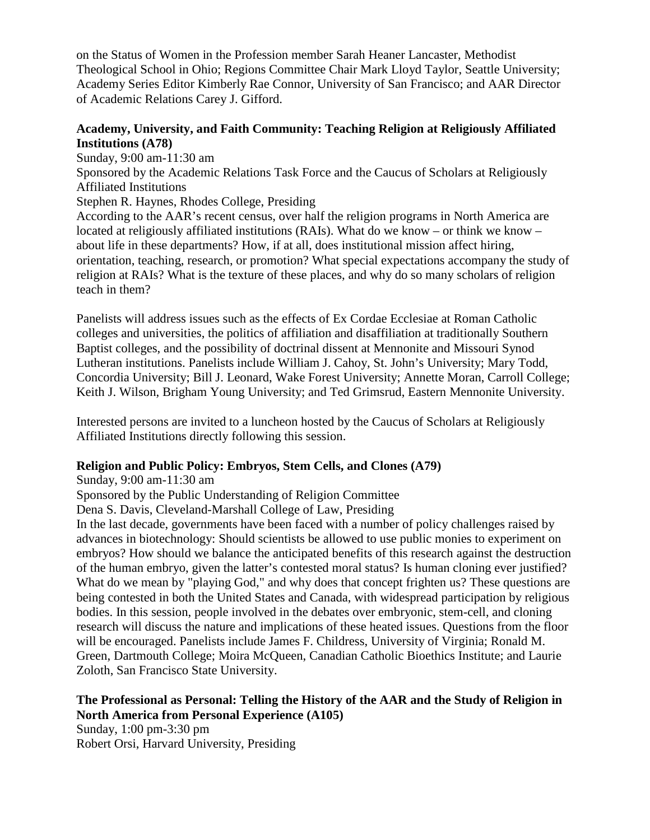on the Status of Women in the Profession member Sarah Heaner Lancaster, Methodist Theological School in Ohio; Regions Committee Chair Mark Lloyd Taylor, Seattle University; Academy Series Editor Kimberly Rae Connor, University of San Francisco; and AAR Director of Academic Relations Carey J. Gifford.

# **Academy, University, and Faith Community: Teaching Religion at Religiously Affiliated Institutions (A78)**

Sunday, 9:00 am-11:30 am Sponsored by the Academic Relations Task Force and the Caucus of Scholars at Religiously Affiliated Institutions

Stephen R. Haynes, Rhodes College, Presiding

According to the AAR's recent census, over half the religion programs in North America are located at religiously affiliated institutions (RAIs). What do we know – or think we know – about life in these departments? How, if at all, does institutional mission affect hiring, orientation, teaching, research, or promotion? What special expectations accompany the study of religion at RAIs? What is the texture of these places, and why do so many scholars of religion teach in them?

Panelists will address issues such as the effects of Ex Cordae Ecclesiae at Roman Catholic colleges and universities, the politics of affiliation and disaffiliation at traditionally Southern Baptist colleges, and the possibility of doctrinal dissent at Mennonite and Missouri Synod Lutheran institutions. Panelists include William J. Cahoy, St. John's University; Mary Todd, Concordia University; Bill J. Leonard, Wake Forest University; Annette Moran, Carroll College; Keith J. Wilson, Brigham Young University; and Ted Grimsrud, Eastern Mennonite University.

Interested persons are invited to a luncheon hosted by the Caucus of Scholars at Religiously Affiliated Institutions directly following this session.

# **Religion and Public Policy: Embryos, Stem Cells, and Clones (A79)**

Sunday, 9:00 am-11:30 am

Sponsored by the Public Understanding of Religion Committee

Dena S. Davis, Cleveland-Marshall College of Law, Presiding

In the last decade, governments have been faced with a number of policy challenges raised by advances in biotechnology: Should scientists be allowed to use public monies to experiment on embryos? How should we balance the anticipated benefits of this research against the destruction of the human embryo, given the latter's contested moral status? Is human cloning ever justified? What do we mean by "playing God," and why does that concept frighten us? These questions are being contested in both the United States and Canada, with widespread participation by religious bodies. In this session, people involved in the debates over embryonic, stem-cell, and cloning research will discuss the nature and implications of these heated issues. Questions from the floor will be encouraged. Panelists include James F. Childress, University of Virginia; Ronald M. Green, Dartmouth College; Moira McQueen, Canadian Catholic Bioethics Institute; and Laurie Zoloth, San Francisco State University.

#### **The Professional as Personal: Telling the History of the AAR and the Study of Religion in North America from Personal Experience (A105)** Sunday, 1:00 pm-3:30 pm

Robert Orsi, Harvard University, Presiding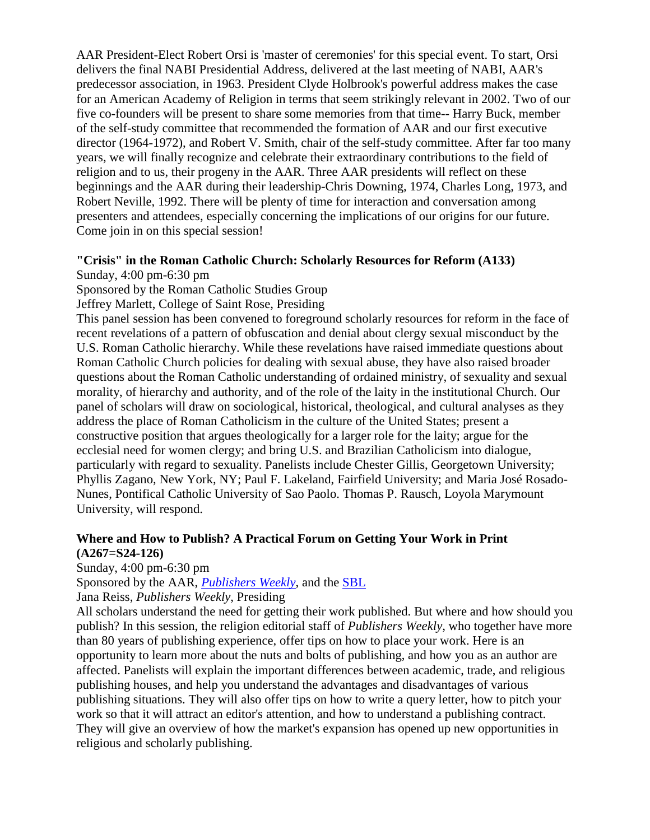AAR President-Elect Robert Orsi is 'master of ceremonies' for this special event. To start, Orsi delivers the final NABI Presidential Address, delivered at the last meeting of NABI, AAR's predecessor association, in 1963. President Clyde Holbrook's powerful address makes the case for an American Academy of Religion in terms that seem strikingly relevant in 2002. Two of our five co-founders will be present to share some memories from that time-- Harry Buck, member of the self-study committee that recommended the formation of AAR and our first executive director (1964-1972), and Robert V. Smith, chair of the self-study committee. After far too many years, we will finally recognize and celebrate their extraordinary contributions to the field of religion and to us, their progeny in the AAR. Three AAR presidents will reflect on these beginnings and the AAR during their leadership-Chris Downing, 1974, Charles Long, 1973, and Robert Neville, 1992. There will be plenty of time for interaction and conversation among presenters and attendees, especially concerning the implications of our origins for our future. Come join in on this special session!

#### **"Crisis" in the Roman Catholic Church: Scholarly Resources for Reform (A133)**

Sunday, 4:00 pm-6:30 pm

Sponsored by the Roman Catholic Studies Group

Jeffrey Marlett, College of Saint Rose, Presiding

This panel session has been convened to foreground scholarly resources for reform in the face of recent revelations of a pattern of obfuscation and denial about clergy sexual misconduct by the U.S. Roman Catholic hierarchy. While these revelations have raised immediate questions about Roman Catholic Church policies for dealing with sexual abuse, they have also raised broader questions about the Roman Catholic understanding of ordained ministry, of sexuality and sexual morality, of hierarchy and authority, and of the role of the laity in the institutional Church. Our panel of scholars will draw on sociological, historical, theological, and cultural analyses as they address the place of Roman Catholicism in the culture of the United States; present a constructive position that argues theologically for a larger role for the laity; argue for the ecclesial need for women clergy; and bring U.S. and Brazilian Catholicism into dialogue, particularly with regard to sexuality. Panelists include Chester Gillis, Georgetown University; Phyllis Zagano, New York, NY; Paul F. Lakeland, Fairfield University; and Maria José Rosado-Nunes, Pontifical Catholic University of Sao Paolo. Thomas P. Rausch, Loyola Marymount University, will respond.

### **Where and How to Publish? A Practical Forum on Getting Your Work in Print (A267=S24-126)**

Sunday, 4:00 pm-6:30 pm

Sponsored by the AAR, *[Publishers Weekly](http://www.publishersweekly.com/)*, and the [SBL](http://www.sbl-site.org/)

Jana Reiss, *Publishers Weekly*, Presiding

All scholars understand the need for getting their work published. But where and how should you publish? In this session, the religion editorial staff of *Publishers Weekly*, who together have more than 80 years of publishing experience, offer tips on how to place your work. Here is an opportunity to learn more about the nuts and bolts of publishing, and how you as an author are affected. Panelists will explain the important differences between academic, trade, and religious publishing houses, and help you understand the advantages and disadvantages of various publishing situations. They will also offer tips on how to write a query letter, how to pitch your work so that it will attract an editor's attention, and how to understand a publishing contract. They will give an overview of how the market's expansion has opened up new opportunities in religious and scholarly publishing.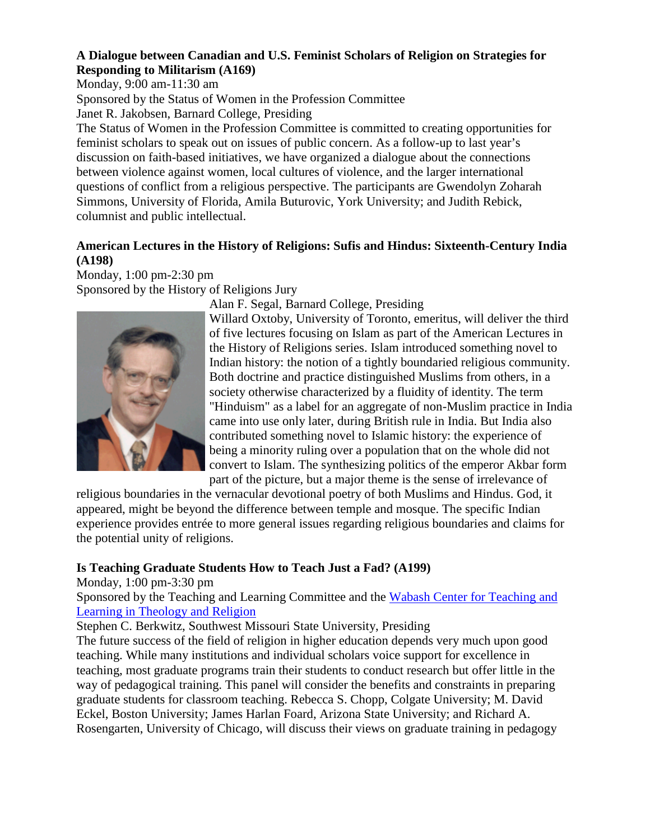# **A Dialogue between Canadian and U.S. Feminist Scholars of Religion on Strategies for Responding to Militarism (A169)**

Monday, 9:00 am-11:30 am

Sponsored by the Status of Women in the Profession Committee Janet R. Jakobsen, Barnard College, Presiding

The Status of Women in the Profession Committee is committed to creating opportunities for feminist scholars to speak out on issues of public concern. As a follow-up to last year's discussion on faith-based initiatives, we have organized a dialogue about the connections between violence against women, local cultures of violence, and the larger international questions of conflict from a religious perspective. The participants are Gwendolyn Zoharah Simmons, University of Florida, Amila Buturovic, York University; and Judith Rebick, columnist and public intellectual.

# **American Lectures in the History of Religions: Sufis and Hindus: Sixteenth-Century India (A198)**

Monday, 1:00 pm-2:30 pm Sponsored by the History of Religions Jury



Alan F. Segal, Barnard College, Presiding

Willard Oxtoby, University of Toronto, emeritus, will deliver the third of five lectures focusing on Islam as part of the American Lectures in the History of Religions series. Islam introduced something novel to Indian history: the notion of a tightly boundaried religious community. Both doctrine and practice distinguished Muslims from others, in a society otherwise characterized by a fluidity of identity. The term "Hinduism" as a label for an aggregate of non-Muslim practice in India came into use only later, during British rule in India. But India also contributed something novel to Islamic history: the experience of being a minority ruling over a population that on the whole did not convert to Islam. The synthesizing politics of the emperor Akbar form part of the picture, but a major theme is the sense of irrelevance of

religious boundaries in the vernacular devotional poetry of both Muslims and Hindus. God, it appeared, might be beyond the difference between temple and mosque. The specific Indian experience provides entrée to more general issues regarding religious boundaries and claims for the potential unity of religions.

# **Is Teaching Graduate Students How to Teach Just a Fad? (A199)**

Monday, 1:00 pm-3:30 pm

Sponsored by the Teaching and Learning Committee and the [Wabash Center for Teaching and](http://www.wabashcenter.wabash.edu/)  [Learning in Theology and Religion](http://www.wabashcenter.wabash.edu/)

Stephen C. Berkwitz, Southwest Missouri State University, Presiding

The future success of the field of religion in higher education depends very much upon good teaching. While many institutions and individual scholars voice support for excellence in teaching, most graduate programs train their students to conduct research but offer little in the way of pedagogical training. This panel will consider the benefits and constraints in preparing graduate students for classroom teaching. Rebecca S. Chopp, Colgate University; M. David Eckel, Boston University; James Harlan Foard, Arizona State University; and Richard A. Rosengarten, University of Chicago, will discuss their views on graduate training in pedagogy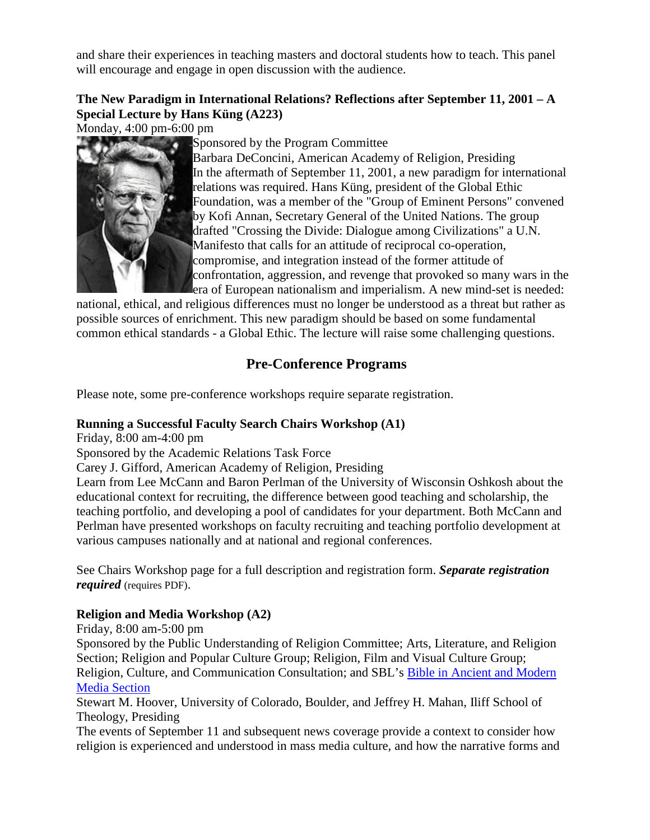and share their experiences in teaching masters and doctoral students how to teach. This panel will encourage and engage in open discussion with the audience.

# **The New Paradigm in International Relations? Reflections after September 11, 2001 – A Special Lecture by Hans Küng (A223)**

Monday, 4:00 pm-6:00 pm



Sponsored by the Program Committee

Barbara DeConcini, American Academy of Religion, Presiding In the aftermath of September 11, 2001, a new paradigm for international relations was required. Hans Küng, president of the Global Ethic Foundation, was a member of the "Group of Eminent Persons" convened by Kofi Annan, Secretary General of the United Nations. The group drafted "Crossing the Divide: Dialogue among Civilizations" a U.N. Manifesto that calls for an attitude of reciprocal co-operation, compromise, and integration instead of the former attitude of confrontation, aggression, and revenge that provoked so many wars in the era of European nationalism and imperialism. A new mind-set is needed:

national, ethical, and religious differences must no longer be understood as a threat but rather as possible sources of enrichment. This new paradigm should be based on some fundamental common ethical standards - a Global Ethic. The lecture will raise some challenging questions.

# <span id="page-6-0"></span>**Pre-Conference Programs**

Please note, some pre-conference workshops require separate registration.

# **Running a Successful Faculty Search Chairs Workshop (A1)**

Friday, 8:00 am-4:00 pm

Sponsored by the Academic Relations Task Force

Carey J. Gifford, American Academy of Religion, Presiding

Learn from Lee McCann and Baron Perlman of the University of Wisconsin Oshkosh about the educational context for recruiting, the difference between good teaching and scholarship, the teaching portfolio, and developing a pool of candidates for your department. Both McCann and Perlman have presented workshops on faculty recruiting and teaching portfolio development at various campuses nationally and at national and regional conferences.

See Chairs Workshop page for a full description and registration form. *Separate registration required* (requires PDF).

# **Religion and Media Workshop (A2)**

Friday, 8:00 am-5:00 pm

Sponsored by the Public Understanding of Religion Committee; Arts, Literature, and Religion Section; Religion and Popular Culture Group; Religion, Film and Visual Culture Group; Religion, Culture, and Communication Consultation; and SBL's [Bible in Ancient and Modern](http://www.sbl-site.org/Congresses/AM/ProgramUnits/programunit-pages.html)  [Media Section](http://www.sbl-site.org/Congresses/AM/ProgramUnits/programunit-pages.html)

Stewart M. Hoover, University of Colorado, Boulder, and Jeffrey H. Mahan, Iliff School of Theology, Presiding

The events of September 11 and subsequent news coverage provide a context to consider how religion is experienced and understood in mass media culture, and how the narrative forms and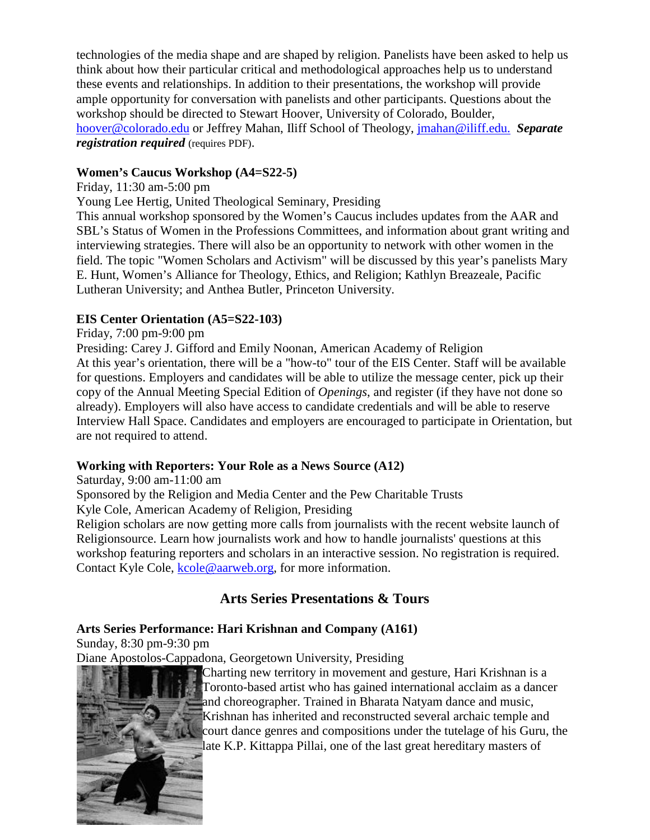technologies of the media shape and are shaped by religion. Panelists have been asked to help us think about how their particular critical and methodological approaches help us to understand these events and relationships. In addition to their presentations, the workshop will provide ample opportunity for conversation with panelists and other participants. Questions about the workshop should be directed to Stewart Hoover, University of Colorado, Boulder, [hoover@colorado.edu](mailto:hoover@colorado.edu) or Jeffrey Mahan, Iliff School of Theology, [jmahan@iliff.edu.](mailto:jmahan@iliff.edu) *Separate registration required* (requires PDF).

### **Women's Caucus Workshop (A4=S22-5)**

Friday, 11:30 am-5:00 pm

Young Lee Hertig, United Theological Seminary, Presiding

This annual workshop sponsored by the Women's Caucus includes updates from the AAR and SBL's Status of Women in the Professions Committees, and information about grant writing and interviewing strategies. There will also be an opportunity to network with other women in the field. The topic "Women Scholars and Activism" will be discussed by this year's panelists Mary E. Hunt, Women's Alliance for Theology, Ethics, and Religion; Kathlyn Breazeale, Pacific Lutheran University; and Anthea Butler, Princeton University.

# **EIS Center Orientation (A5=S22-103)**

### Friday, 7:00 pm-9:00 pm

Presiding: Carey J. Gifford and Emily Noonan, American Academy of Religion At this year's orientation, there will be a "how-to" tour of the EIS Center. Staff will be available for questions. Employers and candidates will be able to utilize the message center, pick up their copy of the Annual Meeting Special Edition of *Openings*, and register (if they have not done so already). Employers will also have access to candidate credentials and will be able to reserve Interview Hall Space. Candidates and employers are encouraged to participate in Orientation, but are not required to attend.

#### **Working with Reporters: Your Role as a News Source (A12)**

Saturday, 9:00 am-11:00 am

Sponsored by the Religion and Media Center and the Pew Charitable Trusts

Kyle Cole, American Academy of Religion, Presiding

Religion scholars are now getting more calls from journalists with the recent website launch of Religionsource. Learn how journalists work and how to handle journalists' questions at this workshop featuring reporters and scholars in an interactive session. No registration is required. Contact Kyle Cole, [kcole@aarweb.org,](mailto:kcole@aarweb.org) for more information.

# <span id="page-7-1"></span>**Arts Series Presentations & Tours**

# <span id="page-7-0"></span>**Arts Series Performance: Hari Krishnan and Company (A161)**

Sunday, 8:30 pm-9:30 pm

Diane Apostolos-Cappadona, Georgetown University, Presiding

Charting new territory in movement and gesture, Hari Krishnan is a Toronto-based artist who has gained international acclaim as a dancer and choreographer. Trained in Bharata Natyam dance and music, Krishnan has inherited and reconstructed several archaic temple and court dance genres and compositions under the tutelage of his Guru, the late K.P. Kittappa Pillai, one of the last great hereditary masters of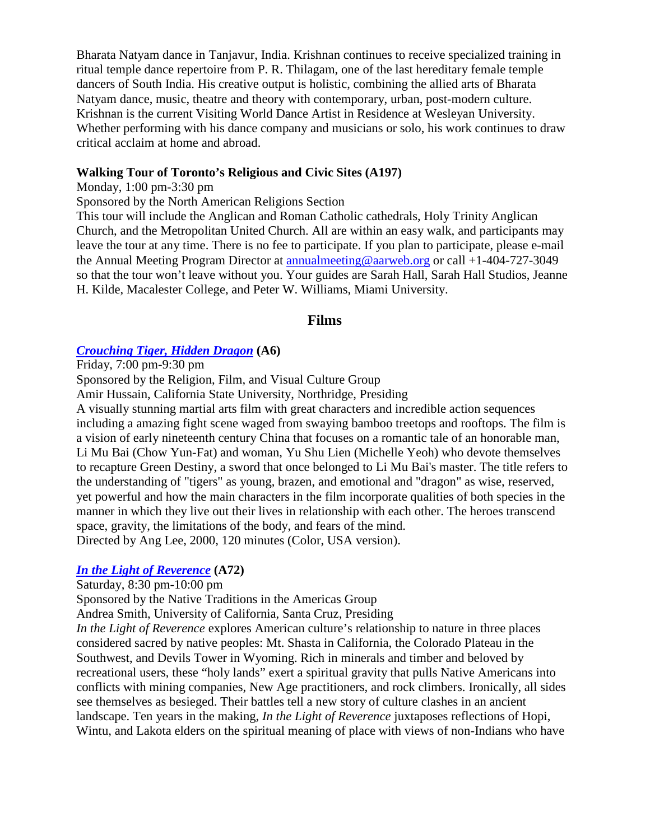Bharata Natyam dance in Tanjavur, India. Krishnan continues to receive specialized training in ritual temple dance repertoire from P. R. Thilagam, one of the last hereditary female temple dancers of South India. His creative output is holistic, combining the allied arts of Bharata Natyam dance, music, theatre and theory with contemporary, urban, post-modern culture. Krishnan is the current Visiting World Dance Artist in Residence at Wesleyan University. Whether performing with his dance company and musicians or solo, his work continues to draw critical acclaim at home and abroad.

#### **Walking Tour of Toronto's Religious and Civic Sites (A197)**

Monday, 1:00 pm-3:30 pm

Sponsored by the North American Religions Section

This tour will include the Anglican and Roman Catholic cathedrals, Holy Trinity Anglican Church, and the Metropolitan United Church. All are within an easy walk, and participants may leave the tour at any time. There is no fee to participate. If you plan to participate, please e-mail the Annual Meeting Program Director at [annualmeeting@aarweb.org](mailto:annualmeeting@aarweb.org) or call +1-404-727-3049 so that the tour won't leave without you. Your guides are Sarah Hall, Sarah Hall Studios, Jeanne H. Kilde, Macalester College, and Peter W. Williams, Miami University.

#### **Films**

#### <span id="page-8-0"></span>*[Crouching Tiger, Hidden Dragon](http://www.crouchingtiger.com/)* **(A6)**

Friday, 7:00 pm-9:30 pm

Sponsored by the Religion, Film, and Visual Culture Group

Amir Hussain, California State University, Northridge, Presiding

A visually stunning martial arts film with great characters and incredible action sequences including a amazing fight scene waged from swaying bamboo treetops and rooftops. The film is a vision of early nineteenth century China that focuses on a romantic tale of an honorable man, Li Mu Bai (Chow Yun-Fat) and woman, Yu Shu Lien (Michelle Yeoh) who devote themselves to recapture Green Destiny, a sword that once belonged to Li Mu Bai's master. The title refers to the understanding of "tigers" as young, brazen, and emotional and "dragon" as wise, reserved, yet powerful and how the main characters in the film incorporate qualities of both species in the manner in which they live out their lives in relationship with each other. The heroes transcend space, gravity, the limitations of the body, and fears of the mind. Directed by Ang Lee, 2000, 120 minutes (Color, USA version).

#### *[In the Light of Reverence](http://www.sacredlands.org/)* **(A72)**

Saturday, 8:30 pm-10:00 pm

Sponsored by the Native Traditions in the Americas Group

Andrea Smith, University of California, Santa Cruz, Presiding

*In the Light of Reverence* explores American culture's relationship to nature in three places considered sacred by native peoples: Mt. Shasta in California, the Colorado Plateau in the Southwest, and Devils Tower in Wyoming. Rich in minerals and timber and beloved by recreational users, these "holy lands" exert a spiritual gravity that pulls Native Americans into conflicts with mining companies, New Age practitioners, and rock climbers. Ironically, all sides see themselves as besieged. Their battles tell a new story of culture clashes in an ancient landscape. Ten years in the making, *In the Light of Reverence* juxtaposes reflections of Hopi, Wintu, and Lakota elders on the spiritual meaning of place with views of non-Indians who have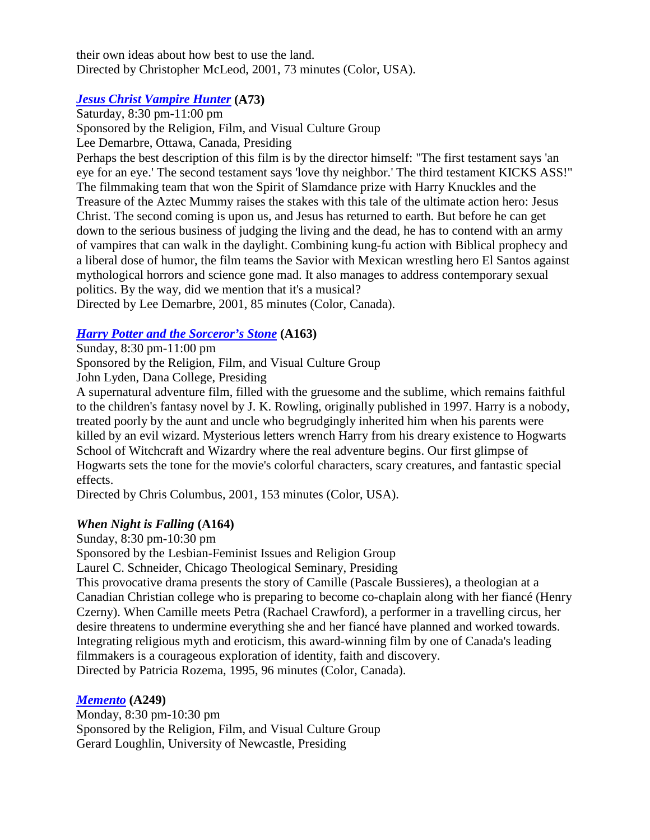their own ideas about how best to use the land. Directed by Christopher McLeod, 2001, 73 minutes (Color, USA).

# *[Jesus Christ Vampire Hunter](http://www.odessafilmworks.com/jcvh)* **(A73)**

Saturday, 8:30 pm-11:00 pm Sponsored by the Religion, Film, and Visual Culture Group Lee Demarbre, Ottawa, Canada, Presiding Perhaps the best description of this film is by the director himself: "The first testament says 'an eye for an eye.' The second testament says 'love thy neighbor.' The third testament KICKS ASS!" The filmmaking team that won the Spirit of Slamdance prize with Harry Knuckles and the Treasure of the Aztec Mummy raises the stakes with this tale of the ultimate action hero: Jesus Christ. The second coming is upon us, and Jesus has returned to earth. But before he can get down to the serious business of judging the living and the dead, he has to contend with an army of vampires that can walk in the daylight. Combining kung-fu action with Biblical prophecy and a liberal dose of humor, the film teams the Savior with Mexican wrestling hero El Santos against mythological horrors and science gone mad. It also manages to address contemporary sexual politics. By the way, did we mention that it's a musical? Directed by Lee Demarbre, 2001, 85 minutes (Color, Canada).

# *[Harry Potter and the Sorceror's Stone](http://harrypotter.warnerbros.com/)* **(A163)**

Sunday, 8:30 pm-11:00 pm

Sponsored by the Religion, Film, and Visual Culture Group

John Lyden, Dana College, Presiding

A supernatural adventure film, filled with the gruesome and the sublime, which remains faithful to the children's fantasy novel by J. K. Rowling, originally published in 1997. Harry is a nobody, treated poorly by the aunt and uncle who begrudgingly inherited him when his parents were killed by an evil wizard. Mysterious letters wrench Harry from his dreary existence to Hogwarts School of Witchcraft and Wizardry where the real adventure begins. Our first glimpse of Hogwarts sets the tone for the movie's colorful characters, scary creatures, and fantastic special effects.

Directed by Chris Columbus, 2001, 153 minutes (Color, USA).

# *When Night is Falling* **(A164)**

Sunday, 8:30 pm-10:30 pm

Sponsored by the Lesbian-Feminist Issues and Religion Group

Laurel C. Schneider, Chicago Theological Seminary, Presiding

This provocative drama presents the story of Camille (Pascale Bussieres), a theologian at a Canadian Christian college who is preparing to become co-chaplain along with her fiancé (Henry Czerny). When Camille meets Petra (Rachael Crawford), a performer in a travelling circus, her desire threatens to undermine everything she and her fiancé have planned and worked towards. Integrating religious myth and eroticism, this award-winning film by one of Canada's leading filmmakers is a courageous exploration of identity, faith and discovery. Directed by Patricia Rozema, 1995, 96 minutes (Color, Canada).

# *[Memento](http://www.otnemem.com/)* **(A249)**

Monday, 8:30 pm-10:30 pm Sponsored by the Religion, Film, and Visual Culture Group Gerard Loughlin, University of Newcastle, Presiding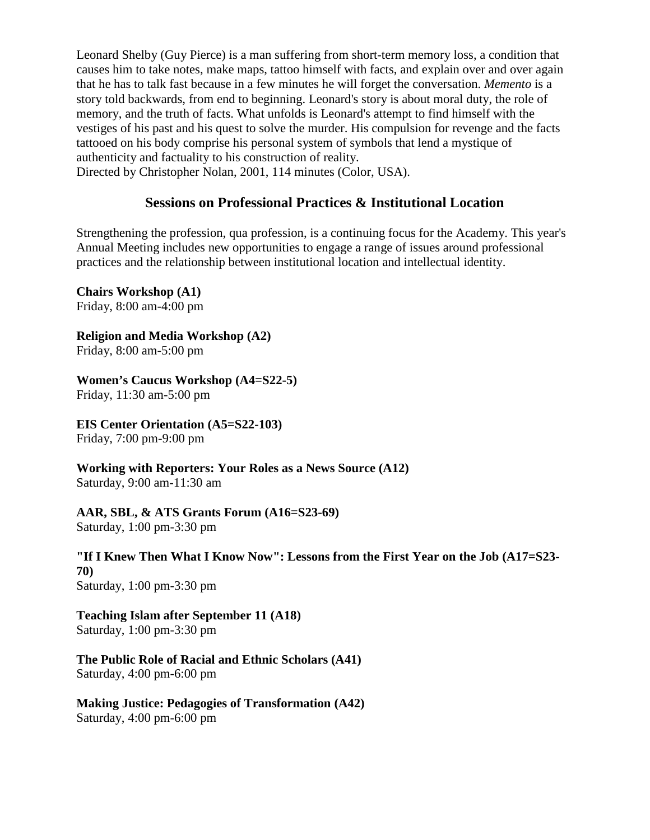Leonard Shelby (Guy Pierce) is a man suffering from short-term memory loss, a condition that causes him to take notes, make maps, tattoo himself with facts, and explain over and over again that he has to talk fast because in a few minutes he will forget the conversation. *Memento* is a story told backwards, from end to beginning. Leonard's story is about moral duty, the role of memory, and the truth of facts. What unfolds is Leonard's attempt to find himself with the vestiges of his past and his quest to solve the murder. His compulsion for revenge and the facts tattooed on his body comprise his personal system of symbols that lend a mystique of authenticity and factuality to his construction of reality.

<span id="page-10-0"></span>Directed by Christopher Nolan, 2001, 114 minutes (Color, USA).

# **Sessions on Professional Practices & Institutional Location**

Strengthening the profession, qua profession, is a continuing focus for the Academy. This year's Annual Meeting includes new opportunities to engage a range of issues around professional practices and the relationship between institutional location and intellectual identity.

**Chairs Workshop (A1)** Friday, 8:00 am-4:00 pm

**Religion and Media Workshop (A2)**

Friday, 8:00 am-5:00 pm

**Women's Caucus Workshop (A4=S22-5)**

Friday, 11:30 am-5:00 pm

**EIS Center Orientation (A5=S22-103)**

Friday, 7:00 pm-9:00 pm

**Working with Reporters: Your Roles as a News Source (A12)** Saturday, 9:00 am-11:30 am

**AAR, SBL, & ATS Grants Forum (A16=S23-69)**

Saturday, 1:00 pm-3:30 pm

**"If I Knew Then What I Know Now": Lessons from the First Year on the Job (A17=S23- 70)** Saturday, 1:00 pm-3:30 pm

**Teaching Islam after September 11 (A18)** Saturday, 1:00 pm-3:30 pm

**The Public Role of Racial and Ethnic Scholars (A41)** Saturday, 4:00 pm-6:00 pm

**Making Justice: Pedagogies of Transformation (A42)** Saturday, 4:00 pm-6:00 pm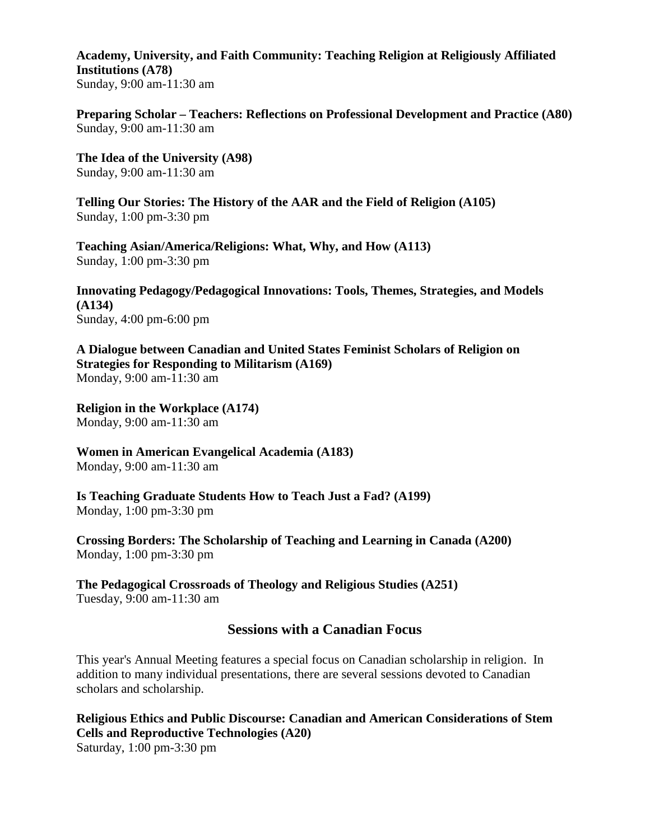**Academy, University, and Faith Community: Teaching Religion at Religiously Affiliated Institutions (A78)** Sunday, 9:00 am-11:30 am

**Preparing Scholar – Teachers: Reflections on Professional Development and Practice (A80)** Sunday, 9:00 am-11:30 am

**The Idea of the University (A98)** Sunday, 9:00 am-11:30 am

**Telling Our Stories: The History of the AAR and the Field of Religion (A105)** Sunday, 1:00 pm-3:30 pm

**Teaching Asian/America/Religions: What, Why, and How (A113)** Sunday, 1:00 pm-3:30 pm

**Innovating Pedagogy/Pedagogical Innovations: Tools, Themes, Strategies, and Models (A134)** Sunday, 4:00 pm-6:00 pm

**A Dialogue between Canadian and United States Feminist Scholars of Religion on Strategies for Responding to Militarism (A169)** Monday, 9:00 am-11:30 am

**Religion in the Workplace (A174)** Monday, 9:00 am-11:30 am

**Women in American Evangelical Academia (A183)** Monday, 9:00 am-11:30 am

**Is Teaching Graduate Students How to Teach Just a Fad? (A199)** Monday, 1:00 pm-3:30 pm

**Crossing Borders: The Scholarship of Teaching and Learning in Canada (A200)** Monday, 1:00 pm-3:30 pm

**The Pedagogical Crossroads of Theology and Religious Studies (A251)** Tuesday, 9:00 am-11:30 am

# **Sessions with a Canadian Focus**

<span id="page-11-0"></span>This year's Annual Meeting features a special focus on Canadian scholarship in religion. In addition to many individual presentations, there are several sessions devoted to Canadian scholars and scholarship.

**Religious Ethics and Public Discourse: Canadian and American Considerations of Stem Cells and Reproductive Technologies (A20)** Saturday, 1:00 pm-3:30 pm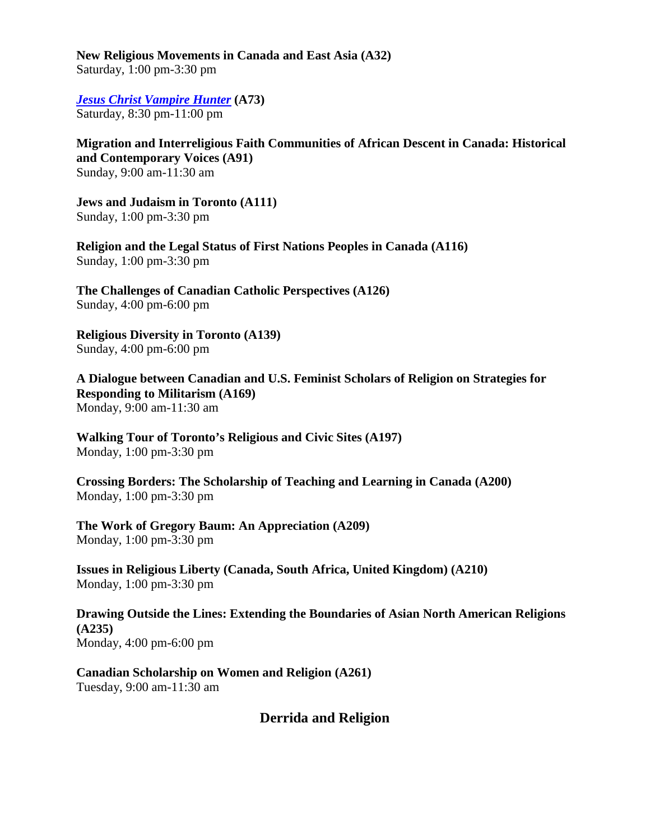**New Religious Movements in Canada and East Asia (A32)** Saturday, 1:00 pm-3:30 pm

*[Jesus Christ Vampire Hunter](http://www.odessafilmworks.com/jcvh)* **(A73)** Saturday, 8:30 pm-11:00 pm

**Migration and Interreligious Faith Communities of African Descent in Canada: Historical and Contemporary Voices (A91)** Sunday, 9:00 am-11:30 am

**Jews and Judaism in Toronto (A111)** Sunday, 1:00 pm-3:30 pm

**Religion and the Legal Status of First Nations Peoples in Canada (A116)** Sunday, 1:00 pm-3:30 pm

**The Challenges of Canadian Catholic Perspectives (A126)** Sunday, 4:00 pm-6:00 pm

**Religious Diversity in Toronto (A139)** Sunday, 4:00 pm-6:00 pm

**A Dialogue between Canadian and U.S. Feminist Scholars of Religion on Strategies for Responding to Militarism (A169)** Monday, 9:00 am-11:30 am

**Walking Tour of Toronto's Religious and Civic Sites (A197)** Monday, 1:00 pm-3:30 pm

**Crossing Borders: The Scholarship of Teaching and Learning in Canada (A200)** Monday, 1:00 pm-3:30 pm

**The Work of Gregory Baum: An Appreciation (A209)** Monday, 1:00 pm-3:30 pm

**Issues in Religious Liberty (Canada, South Africa, United Kingdom) (A210)** Monday, 1:00 pm-3:30 pm

**Drawing Outside the Lines: Extending the Boundaries of Asian North American Religions (A235)** Monday, 4:00 pm-6:00 pm

<span id="page-12-0"></span>**Canadian Scholarship on Women and Religion (A261)** Tuesday, 9:00 am-11:30 am

**Derrida and Religion**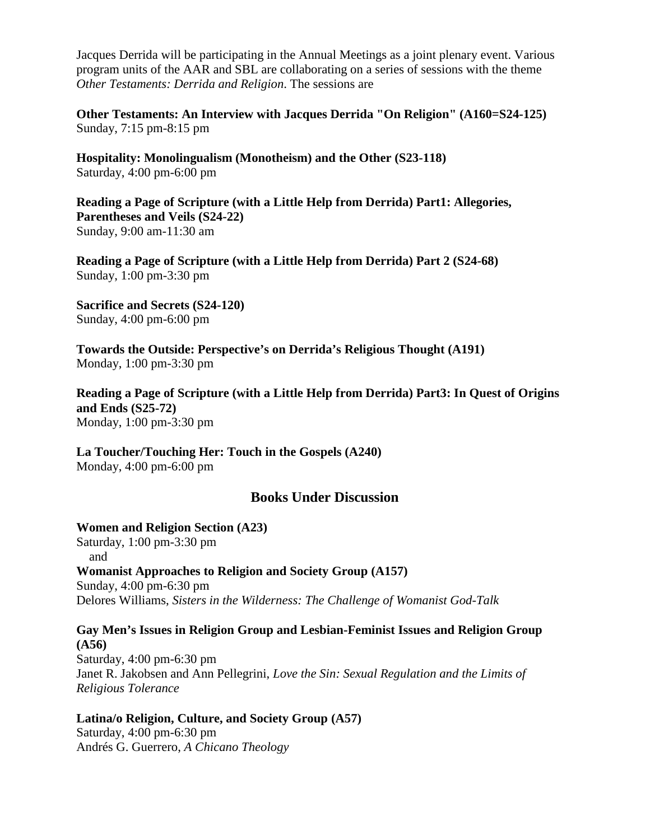Jacques Derrida will be participating in the Annual Meetings as a joint plenary event. Various program units of the AAR and SBL are collaborating on a series of sessions with the theme *Other Testaments: Derrida and Religion*. The sessions are

**Other Testaments: An Interview with Jacques Derrida "On Religion" (A160=S24-125)**  Sunday, 7:15 pm-8:15 pm

**Hospitality: Monolingualism (Monotheism) and the Other (S23-118)**  Saturday, 4:00 pm-6:00 pm

**Reading a Page of Scripture (with a Little Help from Derrida) Part1: Allegories, Parentheses and Veils (S24-22)** Sunday, 9:00 am-11:30 am

**Reading a Page of Scripture (with a Little Help from Derrida) Part 2 (S24-68)** Sunday, 1:00 pm-3:30 pm

**Sacrifice and Secrets (S24-120)** Sunday, 4:00 pm-6:00 pm

**Towards the Outside: Perspective's on Derrida's Religious Thought (A191)** Monday, 1:00 pm-3:30 pm

**Reading a Page of Scripture (with a Little Help from Derrida) Part3: In Quest of Origins and Ends (S25-72)** Monday, 1:00 pm-3:30 pm

**La Toucher/Touching Her: Touch in the Gospels (A240)** Monday, 4:00 pm-6:00 pm

# **Books Under Discussion**

<span id="page-13-0"></span>**Women and Religion Section (A23)** Saturday, 1:00 pm-3:30 pm and **Womanist Approaches to Religion and Society Group (A157)** Sunday, 4:00 pm-6:30 pm Delores Williams, *Sisters in the Wilderness: The Challenge of Womanist God-Talk*

**Gay Men's Issues in Religion Group and Lesbian-Feminist Issues and Religion Group (A56)** Saturday, 4:00 pm-6:30 pm Janet R. Jakobsen and Ann Pellegrini, *Love the Sin: Sexual Regulation and the Limits of Religious Tolerance*

#### **Latina/o Religion, Culture, and Society Group (A57)**

Saturday, 4:00 pm-6:30 pm Andrés G. Guerrero, *A Chicano Theology*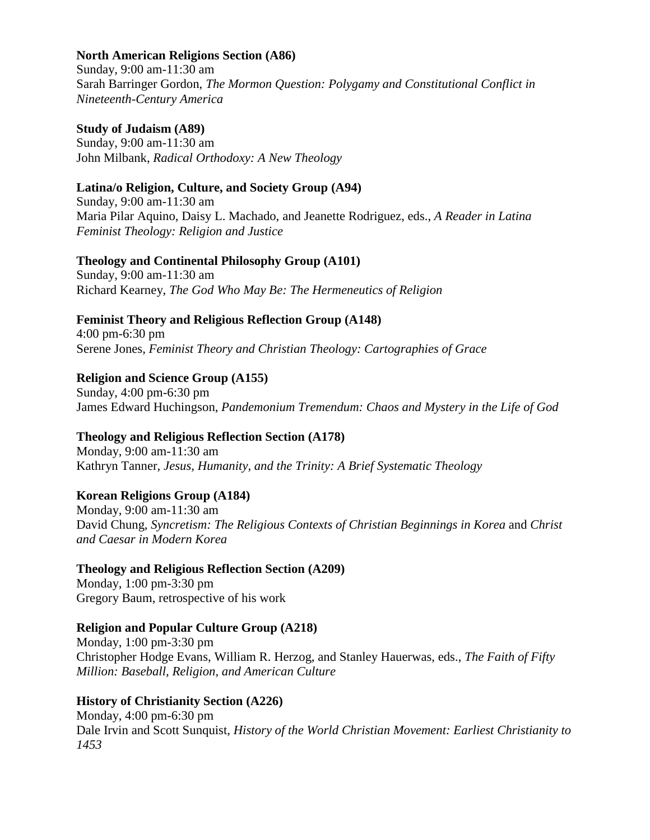### **North American Religions Section (A86)**

Sunday, 9:00 am-11:30 am Sarah Barringer Gordon, *The Mormon Question: Polygamy and Constitutional Conflict in Nineteenth-Century America*

#### **Study of Judaism (A89)**

Sunday, 9:00 am-11:30 am John Milbank, *Radical Orthodoxy: A New Theology*

### **Latina/o Religion, Culture, and Society Group (A94)**

Sunday, 9:00 am-11:30 am Maria Pilar Aquino, Daisy L. Machado, and Jeanette Rodriguez, eds., *A Reader in Latina Feminist Theology: Religion and Justice* 

### **Theology and Continental Philosophy Group (A101)**

Sunday, 9:00 am-11:30 am Richard Kearney, *The God Who May Be: The Hermeneutics of Religion*

# **Feminist Theory and Religious Reflection Group (A148)**

4:00 pm-6:30 pm Serene Jones, *Feminist Theory and Christian Theology: Cartographies of Grace*

# **Religion and Science Group (A155)**

Sunday, 4:00 pm-6:30 pm James Edward Huchingson, *Pandemonium Tremendum: Chaos and Mystery in the Life of God*

# **Theology and Religious Reflection Section (A178)**

Monday, 9:00 am-11:30 am Kathryn Tanner, *Jesus, Humanity, and the Trinity: A Brief Systematic Theology*

# **Korean Religions Group (A184)**

Monday, 9:00 am-11:30 am David Chung, *Syncretism: The Religious Contexts of Christian Beginnings in Korea* and *Christ and Caesar in Modern Korea* 

# **Theology and Religious Reflection Section (A209)**

Monday, 1:00 pm-3:30 pm Gregory Baum, retrospective of his work

# **Religion and Popular Culture Group (A218)**

Monday, 1:00 pm-3:30 pm Christopher Hodge Evans, William R. Herzog, and Stanley Hauerwas, eds., *The Faith of Fifty Million: Baseball, Religion, and American Culture* 

# **History of Christianity Section (A226)**

Monday, 4:00 pm-6:30 pm Dale Irvin and Scott Sunquist, *History of the World Christian Movement: Earliest Christianity to 1453*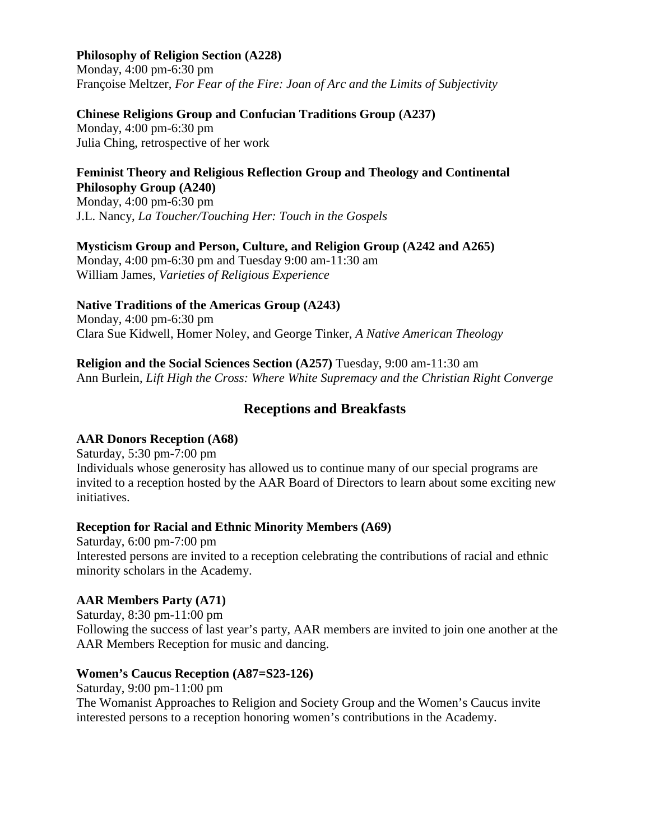# **Philosophy of Religion Section (A228)**

Monday, 4:00 pm-6:30 pm Françoise Meltzer, *For Fear of the Fire: Joan of Arc and the Limits of Subjectivity*

#### **Chinese Religions Group and Confucian Traditions Group (A237)**

Monday, 4:00 pm-6:30 pm Julia Ching, retrospective of her work

#### **Feminist Theory and Religious Reflection Group and Theology and Continental Philosophy Group (A240)**

Monday, 4:00 pm-6:30 pm J.L. Nancy, *La Toucher/Touching Her: Touch in the Gospels*

#### **Mysticism Group and Person, Culture, and Religion Group (A242 and A265)**

Monday, 4:00 pm-6:30 pm and Tuesday 9:00 am-11:30 am William James, *Varieties of Religious Experience*

### **Native Traditions of the Americas Group (A243)**

Monday, 4:00 pm-6:30 pm Clara Sue Kidwell, Homer Noley, and George Tinker, *A Native American Theology*

**Religion and the Social Sciences Section (A257)** Tuesday, 9:00 am-11:30 am Ann Burlein, *Lift High the Cross: Where White Supremacy and the Christian Right Converge*

# **Receptions and Breakfasts**

# <span id="page-15-0"></span>**AAR Donors Reception (A68)**

Saturday, 5:30 pm-7:00 pm Individuals whose generosity has allowed us to continue many of our special programs are invited to a reception hosted by the AAR Board of Directors to learn about some exciting new initiatives.

#### **Reception for Racial and Ethnic Minority Members (A69)**

Saturday, 6:00 pm-7:00 pm Interested persons are invited to a reception celebrating the contributions of racial and ethnic minority scholars in the Academy.

# **AAR Members Party (A71)**

Saturday, 8:30 pm-11:00 pm Following the success of last year's party, AAR members are invited to join one another at the AAR Members Reception for music and dancing.

# **Women's Caucus Reception (A87=S23-126)**

Saturday, 9:00 pm-11:00 pm The Womanist Approaches to Religion and Society Group and the Women's Caucus invite interested persons to a reception honoring women's contributions in the Academy.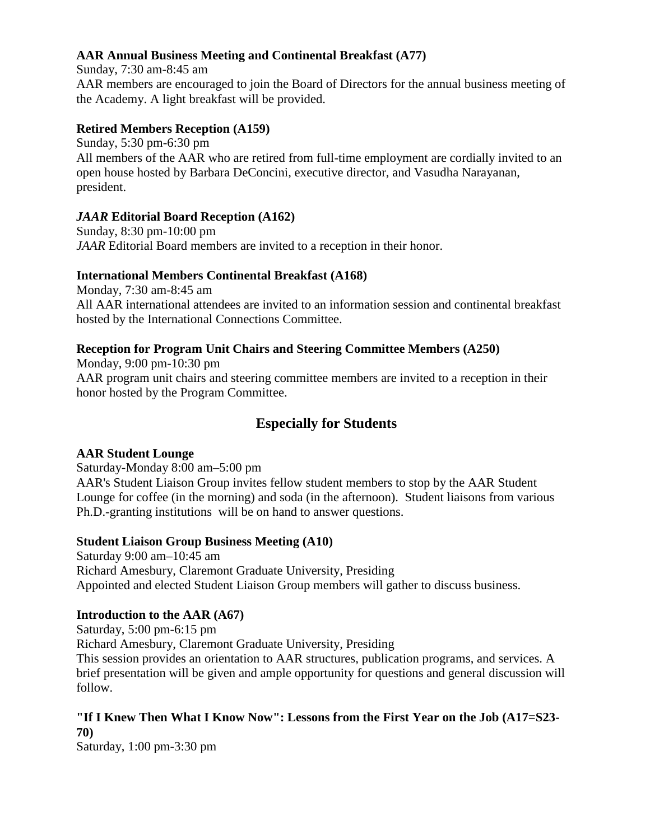# **AAR Annual Business Meeting and Continental Breakfast (A77)**

Sunday, 7:30 am-8:45 am AAR members are encouraged to join the Board of Directors for the annual business meeting of the Academy. A light breakfast will be provided.

# **Retired Members Reception (A159)**

Sunday, 5:30 pm-6:30 pm All members of the AAR who are retired from full-time employment are cordially invited to an open house hosted by Barbara DeConcini, executive director, and Vasudha Narayanan, president.

# *JAAR* **Editorial Board Reception (A162)**

Sunday, 8:30 pm-10:00 pm *JAAR* Editorial Board members are invited to a reception in their honor.

# **International Members Continental Breakfast (A168)**

Monday, 7:30 am-8:45 am All AAR international attendees are invited to an information session and continental breakfast hosted by the International Connections Committee.

# **Reception for Program Unit Chairs and Steering Committee Members (A250)**

Monday, 9:00 pm-10:30 pm AAR program unit chairs and steering committee members are invited to a reception in their honor hosted by the Program Committee.

# <span id="page-16-0"></span>**Especially for Students**

# **AAR Student Lounge**

Saturday-Monday 8:00 am–5:00 pm

AAR's Student Liaison Group invites fellow student members to stop by the AAR Student Lounge for coffee (in the morning) and soda (in the afternoon). Student liaisons from various Ph.D.-granting institutions will be on hand to answer questions.

# **Student Liaison Group Business Meeting (A10)**

Saturday 9:00 am–10:45 am Richard Amesbury, Claremont Graduate University, Presiding Appointed and elected Student Liaison Group members will gather to discuss business.

# **Introduction to the AAR (A67)**

Saturday, 5:00 pm-6:15 pm Richard Amesbury, Claremont Graduate University, Presiding This session provides an orientation to AAR structures, publication programs, and services. A brief presentation will be given and ample opportunity for questions and general discussion will follow.

# **"If I Knew Then What I Know Now": Lessons from the First Year on the Job (A17=S23- 70)**

Saturday, 1:00 pm-3:30 pm